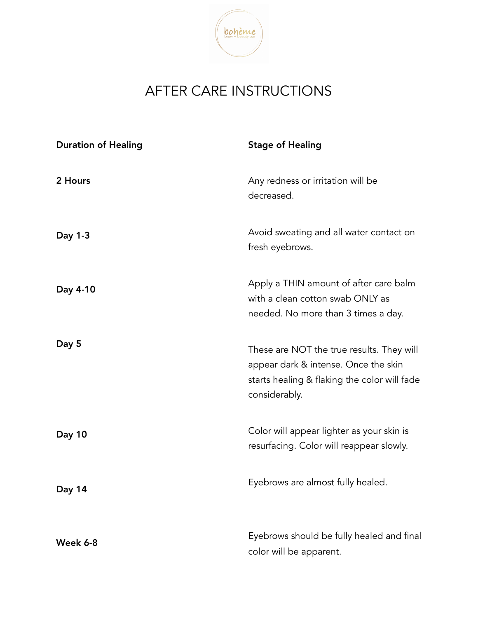

## AFTER CARE INSTRUCTIONS

| <b>Duration of Healing</b> | <b>Stage of Healing</b>                                                                                                                            |
|----------------------------|----------------------------------------------------------------------------------------------------------------------------------------------------|
| 2 Hours                    | Any redness or irritation will be<br>decreased.                                                                                                    |
| Day 1-3                    | Avoid sweating and all water contact on<br>fresh eyebrows.                                                                                         |
| Day 4-10                   | Apply a THIN amount of after care balm<br>with a clean cotton swab ONLY as<br>needed. No more than 3 times a day.                                  |
| Day 5                      | These are NOT the true results. They will<br>appear dark & intense. Once the skin<br>starts healing & flaking the color will fade<br>considerably. |
| Day 10                     | Color will appear lighter as your skin is<br>resurfacing. Color will reappear slowly.                                                              |
| Day 14                     | Eyebrows are almost fully healed.                                                                                                                  |
| Week 6-8                   | Eyebrows should be fully healed and final<br>color will be apparent.                                                                               |